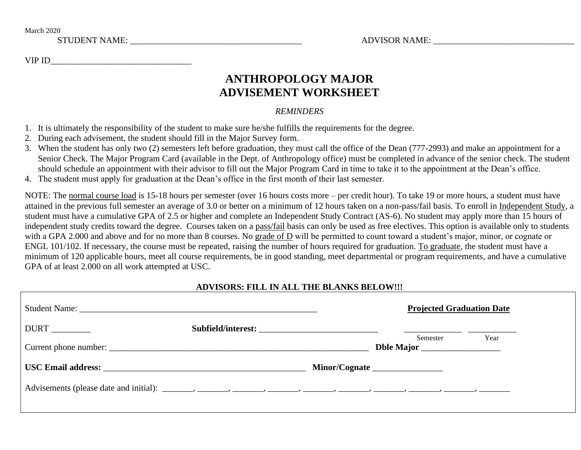March 2020 STUDENT NAME: \_\_\_\_\_\_\_\_\_\_\_\_\_\_\_\_\_\_\_\_\_\_\_\_\_\_\_\_\_\_\_\_\_\_\_\_\_\_\_ ADVISOR NAME: \_\_\_\_\_\_\_\_\_\_\_\_\_\_\_\_\_\_\_\_\_\_\_\_\_\_\_\_\_\_\_\_

VIP ID

# **ANTHROPOLOGY MAJOR ADVISEMENT WORKSHEET**

## *REMINDERS*

- 1. It is ultimately the responsibility of the student to make sure he/she fulfills the requirements for the degree.
- 2. During each advisement, the student should fill in the Major Survey form.
- 3. When the student has only two (2) semesters left before graduation, they must call the office of the Dean (777-2993) and make an appointment for a Senior Check. The Major Program Card (available in the Dept. of Anthropology office) must be completed in advance of the senior check. The student should schedule an appointment with their advisor to fill out the Major Program Card in time to take it to the appointment at the Dean's office.
- 4. The student must apply for graduation at the Dean's office in the first month of their last semester.

NOTE: The normal course load is 15-18 hours per semester (over 16 hours costs more – per credit hour). To take 19 or more hours, a student must have attained in the previous full semester an average of 3.0 or better on a minimum of 12 hours taken on a non-pass/fail basis. To enroll in Independent Study, a student must have a cumulative GPA of 2.5 or higher and complete an Independent Study Contract (AS-6). No student may apply more than 15 hours of independent study credits toward the degree. Courses taken on a pass/fail basis can only be used as free electives. This option is available only to students with a GPA 2.000 and above and for no more than 8 courses. No grade of D will be permitted to count toward a student's major, minor, or cognate or ENGL 101/102. If necessary, the course must be repeated, raising the number of hours required for graduation. To graduate, the student must have a minimum of 120 applicable hours, meet all course requirements, be in good standing, meet departmental or program requirements, and have a cumulative GPA of at least 2.000 on all work attempted at USC.

# **ADVISORS: FILL IN ALL THE BLANKS BELOW!!!**

|  |  | <b>Projected Graduation Date</b> |                        |      |
|--|--|----------------------------------|------------------------|------|
|  |  |                                  |                        |      |
|  |  |                                  | Semester<br>Dble Major | Year |
|  |  |                                  |                        |      |
|  |  |                                  |                        |      |
|  |  |                                  |                        |      |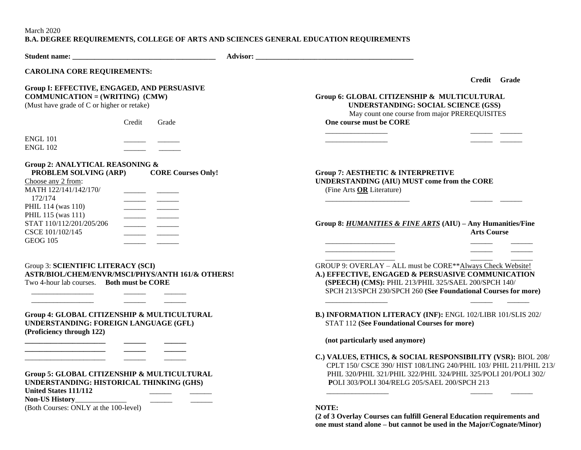March 2020

### **B.A. DEGREE REQUIREMENTS, COLLEGE OF ARTS AND SCIENCES GENERAL EDUCATION REQUIREMENTS**

| <b>CAROLINA CORE REQUIREMENTS:</b>                                                                                                                                                                                      |                                                                                                                                                                                                                                                                |
|-------------------------------------------------------------------------------------------------------------------------------------------------------------------------------------------------------------------------|----------------------------------------------------------------------------------------------------------------------------------------------------------------------------------------------------------------------------------------------------------------|
| Group I: EFFECTIVE, ENGAGED, AND PERSUASIVE<br>$COMMUNICATION = (WRITING) (CMW)$<br>(Must have grade of C or higher or retake)<br>Credit<br>Grade<br><b>ENGL 101</b>                                                    | Credit Grade<br>Group 6: GLOBAL CITIZENSHIP & MULTICULTURAL<br><b>UNDERSTANDING: SOCIAL SCIENCE (GSS)</b><br>May count one course from major PREREQUISITES<br>One course must be CORE                                                                          |
| <b>ENGL 102</b>                                                                                                                                                                                                         |                                                                                                                                                                                                                                                                |
| Group 2: ANALYTICAL REASONING &<br>PROBLEM SOLVING (ARP)<br><b>CORE Courses Only!</b><br>Choose any 2 from:<br>MATH 122/141/142/170/<br>172/174<br>PHIL 114 (was 110)<br>PHIL 115 (was 111)<br>STAT 110/112/201/205/206 | <b>Group 7: AESTHETIC &amp; INTERPRETIVE</b><br>UNDERSTANDING (AIU) MUST come from the CORE<br>(Fine Arts OR Literature)<br>Group 8: HUMANITIES & FINE ARTS (AIU) - Any Humanities/Fine                                                                        |
| CSCE 101/102/145<br><b>GEOG 105</b>                                                                                                                                                                                     | <b>Arts Course</b>                                                                                                                                                                                                                                             |
| Group 3: SCIENTIFIC LITERACY (SCI)<br>ASTR/BIOL/CHEM/ENVR/MSCI/PHYS/ANTH 161/& OTHERS!<br>Two 4-hour lab courses. Both must be CORE                                                                                     | GROUP 9: OVERLAY – ALL must be CORE**Always Check Website!<br>A.) EFFECTIVE, ENGAGED & PERSUASIVE COMMUNICATION<br>(SPEECH) (CMS): PHIL 213/PHIL 325/SAEL 200/SPCH 140/<br>SPCH 213/SPCH 230/SPCH 260 (See Foundational Courses for more)                      |
| Group 4: GLOBAL CITIZENSHIP & MULTICULTURAL<br>UNDERSTANDING: FOREIGN LANGUAGE (GFL)<br>(Proficiency through 122)                                                                                                       | B.) INFORMATION LITERACY (INF): ENGL 102/LIBR 101/SLIS 202/<br><b>STAT 112 (See Foundational Courses for more)</b><br>(not particularly used anymore)                                                                                                          |
| Group 5: GLOBAL CITIZENSHIP & MULTICULTURAL<br>UNDERSTANDING: HISTORICAL THINKING (GHS)<br>United States 111/112<br>Non-US History<br>(Both Courses: ONLY at the 100-level)                                             | C.) VALUES, ETHICS, & SOCIAL RESPONSIBILITY (VSR): BIOL 208/<br>CPLT 150/ CSCE 390/ HIST 108/LING 240/PHIL 103/ PHIL 211/PHIL 213/<br>PHIL 320/PHIL 321/PHIL 322/PHIL 324/PHIL 325/POLI 201/POLI 302/<br>POLI 303/POLI 304/RELG 205/SAEL 200/SPCH 213<br>NOTE: |
|                                                                                                                                                                                                                         | the company of the company of the                                                                                                                                                                                                                              |

**(2 of 3 Overlay Courses can fulfill General Education requirements and one must stand alone – but cannot be used in the Major/Cognate/Minor)**